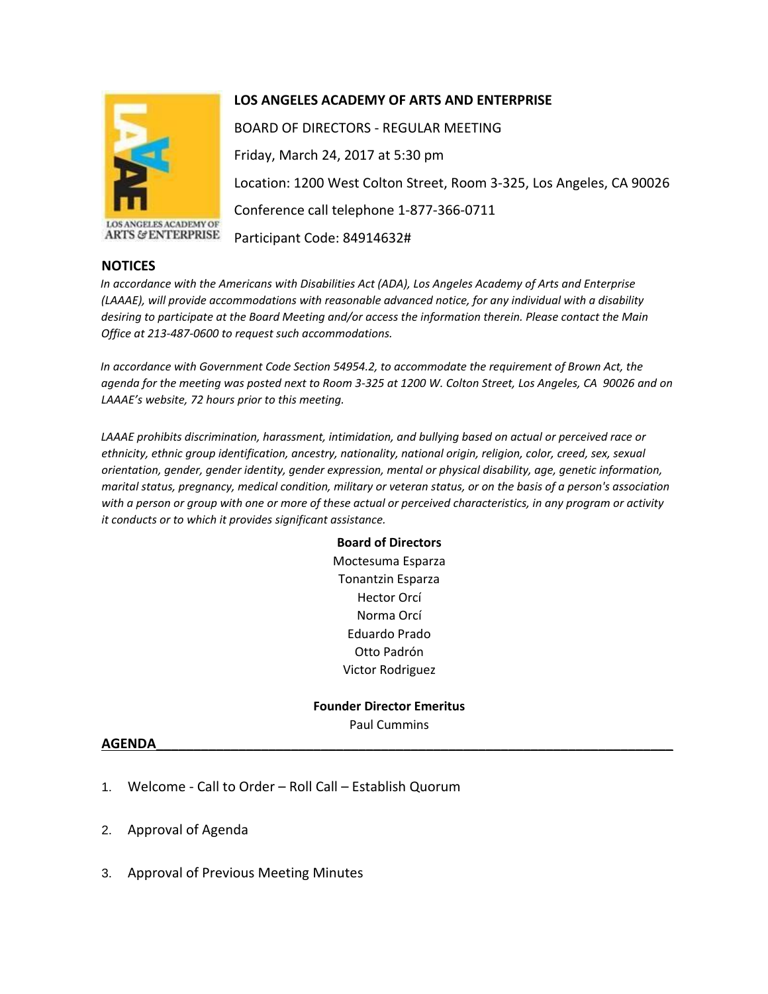

**ARTS & ENTERPRISE** 

**LOS ANGELES ACADEMY OF ARTS AND ENTERPRISE** 

BOARD OF DIRECTORS - REGULAR MEETING Friday, March 24, 2017 at 5:30 pm Location: 1200 West Colton Street, Room 3-325, Los Angeles, CA 90026 Conference call telephone 1-877-366-0711 Participant Code: 84914632#

## **NOTICES**

*In accordance with the Americans with Disabilities Act (ADA), Los Angeles Academy of Arts and Enterprise (LAAAE), will provide accommodations with reasonable advanced notice, for any individual with a disability desiring to participate at the Board Meeting and/or access the information therein. Please contact the Main Office at 213-487-0600 to request such accommodations.* 

*In accordance with Government Code Section 54954.2, to accommodate the requirement of Brown Act, the agenda for the meeting was posted next to Room 3-325 at 1200 W. Colton Street, Los Angeles, CA 90026 and on LAAAE's website, 72 hours prior to this meeting.* 

*LAAAE prohibits discrimination, harassment, intimidation, and bullying based on actual or perceived race or ethnicity, ethnic group identification, ancestry, nationality, national origin, religion, color, creed, sex, sexual orientation, gender, gender identity, gender expression, mental or physical disability, age, genetic information, marital status, pregnancy, medical condition, military or veteran status, or on the basis of a person's association with a person or group with one or more of these actual or perceived characteristics, in any program or activity it conducts or to which it provides significant assistance.* 

> **Board of Directors** Moctesuma Esparza Tonantzin Esparza Hector Orcí Norma Orcí Eduardo Prado Otto Padrón Victor Rodriguez

**Founder Director Emeritus** Paul Cummins

## **AGENDA\_\_\_\_\_\_\_\_\_\_\_\_\_\_\_\_\_\_\_\_\_\_\_\_\_\_\_\_\_\_\_\_\_\_\_\_\_\_\_\_\_\_\_\_\_\_\_\_\_\_\_\_\_\_\_\_\_\_\_\_\_\_\_\_\_\_\_\_\_**

- 1. Welcome Call to Order Roll Call Establish Quorum
- 2. Approval of Agenda
- 3. Approval of Previous Meeting Minutes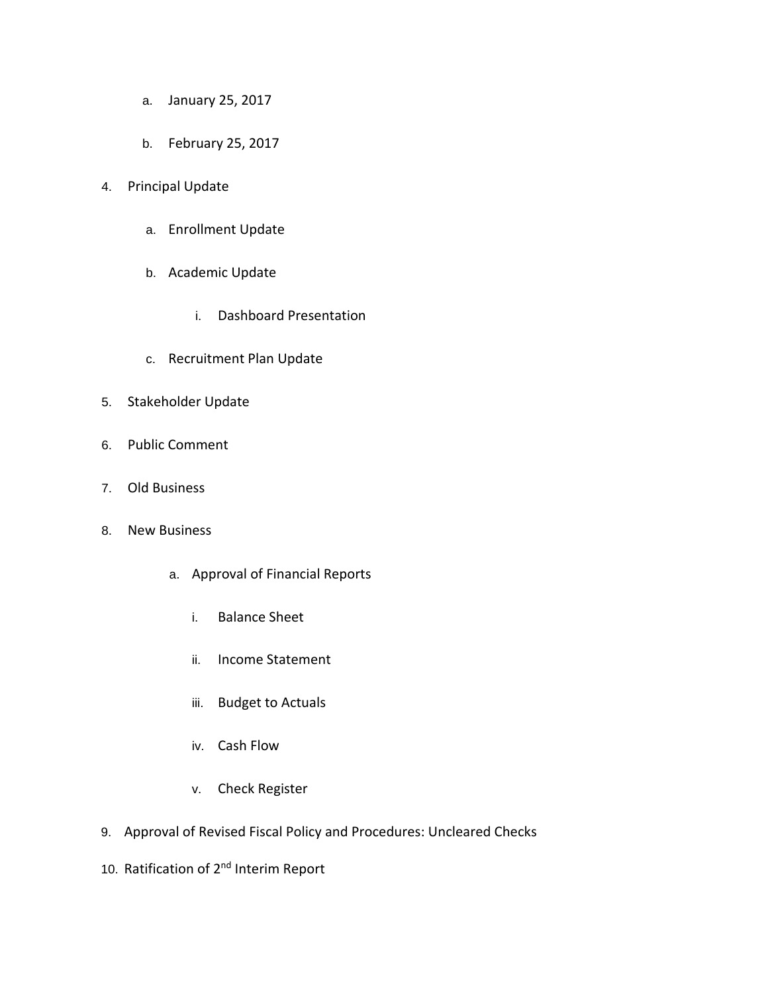- a. January 25, 2017
- b. February 25, 2017
- 4. Principal Update
	- a. Enrollment Update
	- b. Academic Update
		- i. Dashboard Presentation
	- c. Recruitment Plan Update
- 5. Stakeholder Update
- 6. Public Comment
- 7. Old Business
- 8. New Business
	- a. Approval of Financial Reports
		- i. Balance Sheet
		- ii. Income Statement
		- iii. Budget to Actuals
		- iv. Cash Flow
		- v. Check Register
- 9. Approval of Revised Fiscal Policy and Procedures: Uncleared Checks
- 10. Ratification of 2<sup>nd</sup> Interim Report